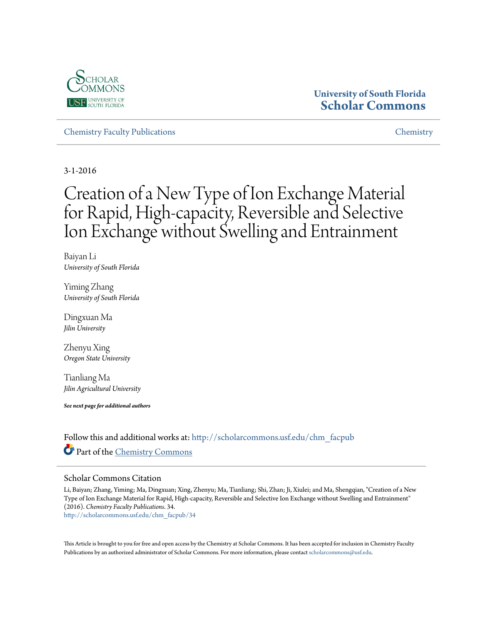

# **University of South Florida [Scholar Commons](http://scholarcommons.usf.edu?utm_source=scholarcommons.usf.edu%2Fchm_facpub%2F34&utm_medium=PDF&utm_campaign=PDFCoverPages)**

[Chemistry Faculty Publications](http://scholarcommons.usf.edu/chm_facpub?utm_source=scholarcommons.usf.edu%2Fchm_facpub%2F34&utm_medium=PDF&utm_campaign=PDFCoverPages) [Chemistry](http://scholarcommons.usf.edu/chm?utm_source=scholarcommons.usf.edu%2Fchm_facpub%2F34&utm_medium=PDF&utm_campaign=PDFCoverPages)

3-1-2016

# Creation of a New Type of Ion Exchange Material for Rapid, High-capacity, Reversible and Selective Ion Exchange without Swelling and Entrainment

Baiyan Li *University of South Florida*

Yiming Zhang *University of South Florida*

Dingxuan Ma *Jilin University*

Zhenyu Xing *Oregon State University*

Tianliang Ma *Jilin Agricultural University*

*See next page for additional authors*

Follow this and additional works at: [http://scholarcommons.usf.edu/chm\\_facpub](http://scholarcommons.usf.edu/chm_facpub?utm_source=scholarcommons.usf.edu%2Fchm_facpub%2F34&utm_medium=PDF&utm_campaign=PDFCoverPages) Part of the [Chemistry Commons](http://network.bepress.com/hgg/discipline/131?utm_source=scholarcommons.usf.edu%2Fchm_facpub%2F34&utm_medium=PDF&utm_campaign=PDFCoverPages)

### Scholar Commons Citation

Li, Baiyan; Zhang, Yiming; Ma, Dingxuan; Xing, Zhenyu; Ma, Tianliang; Shi, Zhan; Ji, Xiulei; and Ma, Shengqian, "Creation of a New Type of Ion Exchange Material for Rapid, High-capacity, Reversible and Selective Ion Exchange without Swelling and Entrainment" (2016). *Chemistry Faculty Publications*. 34.

[http://scholarcommons.usf.edu/chm\\_facpub/34](http://scholarcommons.usf.edu/chm_facpub/34?utm_source=scholarcommons.usf.edu%2Fchm_facpub%2F34&utm_medium=PDF&utm_campaign=PDFCoverPages)

This Article is brought to you for free and open access by the Chemistry at Scholar Commons. It has been accepted for inclusion in Chemistry Faculty Publications by an authorized administrator of Scholar Commons. For more information, please contact [scholarcommons@usf.edu](mailto:scholarcommons@usf.edu).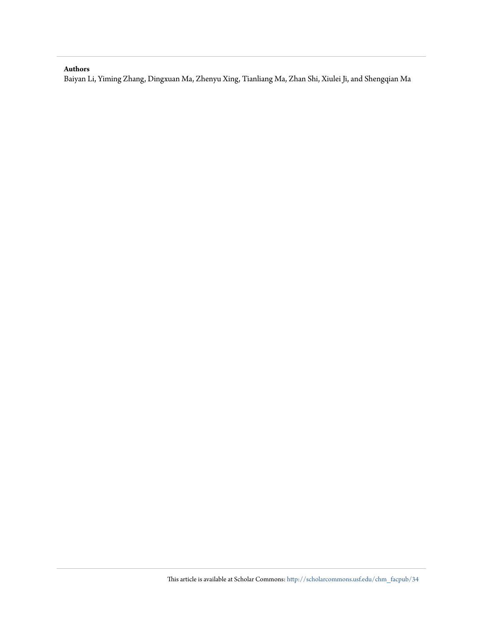### **Authors**

Baiyan Li, Yiming Zhang, Dingxuan Ma, Zhenyu Xing, Tianliang Ma, Zhan Shi, Xiulei Ji, and Shengqian Ma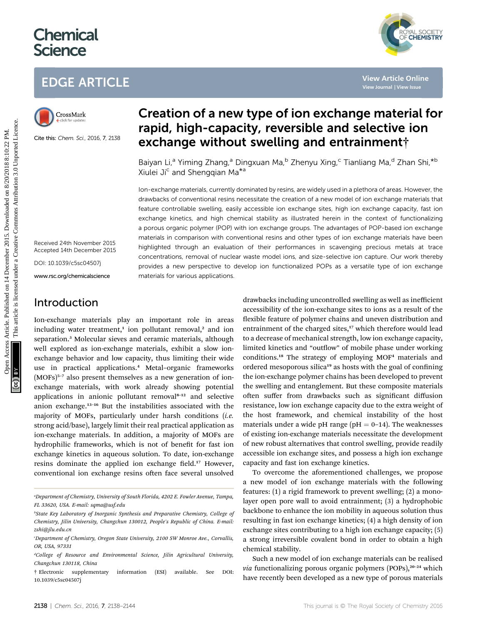# **Chemical Science**

# EDGE ARTICLE



Cite this: Chem. Sci., 2016, 7, 2138

# Creation of a new type of ion exchange material for rapid, high-capacity, reversible and selective ion exchange without swelling and entrainment†

Baiyan Li,<sup>a</sup> Yiming Zhang,<sup>a</sup> Dingxuan Ma,<sup>b</sup> Zhenyu Xing,<sup>c</sup> Tianliang Ma,<sup>d</sup> Zhan Shi,<sup>\*b</sup> Xiulei Ji<sup>c</sup> and Shenggian Ma<sup>\*a</sup>

Ion-exchange materials, currently dominated by resins, are widely used in a plethora of areas. However, the drawbacks of conventional resins necessitate the creation of a new model of ion exchange materials that feature controllable swelling, easily accessible ion exchange sites, high ion exchange capacity, fast ion exchange kinetics, and high chemical stability as illustrated herein in the context of functionalizing a porous organic polymer (POP) with ion exchange groups. The advantages of POP-based ion exchange materials in comparison with conventional resins and other types of ion exchange materials have been highlighted through an evaluation of their performances in scavenging precious metals at trace concentrations, removal of nuclear waste model ions, and size-selective ion capture. Our work thereby provides a new perspective to develop ion functionalized POPs as a versatile type of ion exchange materials for various applications. **EDGE ARTICLE**<br>
Consideration of a new type of ion exchange material chine<br>
Trapid, high-capacity, reversible and selective ion<br>
Circuit and the change without swelling and entrainment<br>
State and selective ion<br>
State of t

Received 24th November 2015 Accepted 14th December 2015

DOI: 10.1039/c5sc04507j

www.rsc.org/chemicalscience

## Introduction

Ion-exchange materials play an important role in areas including water treatment,<sup>1</sup> ion pollutant removal,<sup>2</sup> and ion separation.<sup>3</sup> Molecular sieves and ceramic materials, although well explored as ion-exchange materials, exhibit a slow ionexchange behavior and low capacity, thus limiting their wide use in practical applications.<sup>4</sup> Metal–organic frameworks  $(MOFs)^{5-7}$  also present themselves as a new generation of ionexchange materials, with work already showing potential applications in anionic pollutant removal $8-12$  and selective anion exchange.<sup>13</sup>–<sup>16</sup> But the instabilities associated with the majority of MOFs, particularly under harsh conditions (i.e. strong acid/base), largely limit their real practical application as ion-exchange materials. In addition, a majority of MOFs are hydrophilic frameworks, which is not of benefit for fast ion exchange kinetics in aqueous solution. To date, ion-exchange resins dominate the applied ion exchange field.<sup>17</sup> However, conventional ion exchange resins often face several unsolved

drawbacks including uncontrolled swelling as well as inefficient accessibility of the ion-exchange sites to ions as a result of the flexible feature of polymer chains and uneven distribution and entrainment of the charged sites,<sup>17</sup> which therefore would lead to a decrease of mechanical strength, low ion exchange capacity, limited kinetics and "outflow" of mobile phase under working conditions.<sup>18</sup> The strategy of employing MOF<sup>4</sup> materials and ordered mesoporous silica<sup>19</sup> as hosts with the goal of confining the ion-exchange polymer chains has been developed to prevent the swelling and entanglement. But these composite materials often suffer from drawbacks such as significant diffusion resistance, low ion exchange capacity due to the extra weight of the host framework, and chemical instability of the host materials under a wide pH range ( $pH = 0-14$ ). The weaknesses of existing ion-exchange materials necessitate the development of new robust alternatives that control swelling, provide readily accessible ion exchange sites, and possess a high ion exchange capacity and fast ion exchange kinetics.

YAL SOCIETY<br>**CHEMISTRY** 

To overcome the aforementioned challenges, we propose a new model of ion exchange materials with the following features: (1) a rigid framework to prevent swelling; (2) a monolayer open pore wall to avoid entrainment; (3) a hydrophobic backbone to enhance the ion mobility in aqueous solution thus resulting in fast ion exchange kinetics; (4) a high density of ion exchange sites contributing to a high ion exchange capacity; (5) a strong irreversible covalent bond in order to obtain a high chemical stability.

Such a new model of ion exchange materials can be realised via functionalizing porous organic polymers (POPs), $20-24$  which have recently been developed as a new type of porous materials

a Department of Chemistry, University of South Florida, 4202 E. Fowler Avenue, Tampa, FL 33620, USA. E-mail: sqma@usf.edu

<sup>&</sup>lt;sup>b</sup>State Key Laboratory of Inorganic Synthesis and Preparative Chemistry, College of Chemistry, Jilin University, Changchun 130012, People's Republic of China. E-mail: zshi@jlu.edu.cn

c Department of Chemistry, Oregon State University, 2100 SW Monroe Ave., Corvallis, OR, USA, 97331

<sup>&</sup>lt;sup>a</sup>College of Resource and Environmental Science, Jilin Agricultural University, Changchun 130118, China

<sup>†</sup> Electronic supplementary information (ESI) available. See DOI: 10.1039/c5sc04507j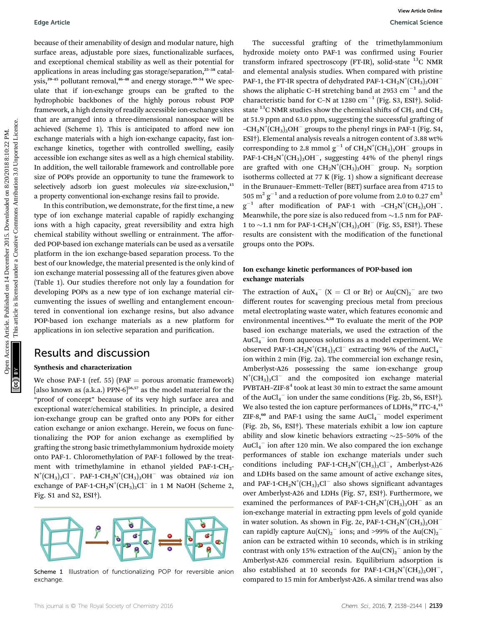because of their amenability of design and modular nature, high surface areas, adjustable pore sizes, functionalizable surfaces, and exceptional chemical stability as well as their potential for applications in areas including gas storage/separation,<sup>25</sup>–<sup>38</sup> catalysis,<sup>39-45</sup> pollutant removal,<sup>46-48</sup> and energy storage.<sup>49-54</sup> We speculate that if ion-exchange groups can be grafted to the hydrophobic backbones of the highly porous robust POP framework, a high density of readily accessible ion-exchange sites that are arranged into a three-dimensional nanospace will be achieved (Scheme 1). This is anticipated to afford new ion exchange materials with a high ion-exchange capacity, fast ionexchange kinetics, together with controlled swelling, easily accessible ion exchange sites as well as a high chemical stability. In addition, the well tailorable framework and controllable pore size of POPs provide an opportunity to tune the framework to selectively adsorb ion guest molecules via size-exclusion, $15$ a property conventional ion-exchange resins fail to provide.

In this contribution, we demonstrate, for the first time, a new type of ion exchange material capable of rapidly exchanging ions with a high capacity, great reversibility and extra high chemical stability without swelling or entrainment. The afforded POP-based ion exchange materials can be used as a versatile platform in the ion exchange-based separation process. To the best of our knowledge, the material presented is the only kind of ion exchange material possessing all of the features given above (Table 1). Our studies therefore not only lay a foundation for developing POPs as a new type of ion exchange material circumventing the issues of swelling and entanglement encountered in conventional ion exchange resins, but also advance POP-based ion exchange materials as a new platform for applications in ion selective separation and purification.

### Results and discussion

#### Synthesis and characterization

We chose PAF-1 (ref. 55) (PAF = porous aromatic framework) [also known as  $(a.k.a.)$  PPN-6]<sup>56,57</sup> as the model material for the "proof of concept" because of its very high surface area and exceptional water/chemical stabilities. In principle, a desired ion-exchange group can be grafted onto any POPs for either cation exchange or anion exchange. Herein, we focus on functionalizing the POP for anion exchange as exemplified by grafting the strong basic trimethylammonium hydroxide moiety onto PAF-1. Chloromethylation of PAF-1 followed by the treatment with trimethylamine in ethanol yielded PAF-1-CH<sub>2</sub>- $N^{+}(CH_{3})_{3}Cl^{-}$ . PAF-1-CH<sub>2</sub>N<sup>+</sup>(CH<sub>3</sub>)<sub>3</sub>OH<sup>-</sup> was obtained *via* ion exchange of PAF-1-CH<sub>2</sub>N<sup>+</sup>(CH<sub>3</sub>)<sub>3</sub>Cl<sup>-</sup> in 1 M NaOH (Scheme 2, Fig. S1 and S2, ESI†).



Scheme 1 Illustration of functionalizing POP for reversible anion exchange

The successful grafting of the trimethylammonium hydroxide moiety onto PAF-1 was confirmed using Fourier transform infrared spectroscopy (FT-IR), solid-state  $^{13}$ C NMR and elemental analysis studies. When compared with pristine PAF-1, the FT-IR spectra of dehydrated PAF-1-CH<sub>2</sub>N<sup>+</sup>(CH<sub>3</sub>)<sub>3</sub>OH<sup>-</sup> shows the aliphatic C-H stretching band at 2953  $\text{cm}^{-1}$  and the characteristic band for C-N at 1280  $cm^{-1}$  (Fig. S3, ESI†). Solidstate <sup>13</sup>C NMR studies show the chemical shifts of CH<sub>3</sub> and CH<sub>2</sub> at 51.9 ppm and 63.0 ppm, suggesting the successful grafting of -CH<sub>2</sub>N<sup>+</sup>(CH<sub>3</sub>)<sub>3</sub>OH<sup>-</sup> groups to the phenyl rings in PAF-1 (Fig. S4, ESI†). Elemental analysis reveals a nitrogen content of 3.88 wt% corresponding to 2.8 mmol  $g^{-1}$  of  $CH_2N^+(CH_3)_3OH^-$  groups in PAF-1-CH<sub>2</sub>N<sup>+</sup>(CH<sub>3</sub>)<sub>3</sub>OH<sup>-</sup>, suggesting 44% of the phenyl rings are grafted with one  $\mathrm{CH_2N}^+ (\mathrm{CH_3})_3\mathrm{OH}^-$  group. N<sub>2</sub> sorption isotherms collected at 77 K (Fig. 1) show a significant decrease in the Brunauer–Emmett–Teller (BET) surface area from 4715 to 505  $\mathrm{m^2\,g^{-1}}$  and a reduction of pore volume from 2.0 to 0.27  $\mathrm{cm^3}$  $g^{-1}$  after modification of PAF-1 with -CH<sub>2</sub>N<sup>+</sup>(CH<sub>3</sub>)<sub>3</sub>OH<sup>-</sup>. Meanwhile, the pore size is also reduced from  $\sim$ 1.5 nm for PAF-1 to  $\sim$ 1.1 nm for PAF-1-CH<sub>2</sub>N<sup>+</sup>(CH<sub>3</sub>)<sub>3</sub>OH<sup>-</sup> (Fig. S5, ESI<sup>†</sup>). These results are consistent with the modification of the functional groups onto the POPs. Edge Article<br>
Uncome Celtura anticolate profession and modular nature, high<br>
uncome one and celester area in contrast are the common and the state of the common and the state of the state of the state of the state is liqu

#### Ion exchange kinetic performances of POP-based ion exchange materials

The extraction of  $\text{AuX}_4^ (X = \text{Cl or Br})$  or  $\text{Au(CN)}_2^-$  are two different routes for scavenging precious metal from precious metal electroplating waste water, which features economic and environmental incentives.4,58 To evaluate the merit of the POP based ion exchange materials, we used the extraction of the  $\mathrm{AuCl}_{4}^{-}$  ion from aqueous solutions as a model experiment. We observed PAF-1-CH<sub>2</sub>N<sup>+</sup>(CH<sub>3</sub>)<sub>3</sub>Cl<sup>-</sup> extracting 96% of the AuCl<sub>4</sub><sup>-</sup> ion within 2 min (Fig. 2a). The commercial ion exchange resin, Amberlyst-A26 possessing the same ion-exchange group  $N^{+}(CH_{3})_{3}Cl^{-}$  and the composited ion exchange material PVBTAH–ZIF- $8<sup>4</sup>$  took at least 30 min to extract the same amount of the AuCl<sub>4</sub><sup>-</sup> ion under the same conditions (Fig. 2b, S6, ESI†). We also tested the ion capture performances of LDHs,<sup>59</sup> ITC-4,<sup>15</sup> ZIF-8, $60$  and PAF-1 using the same AuCl<sub>4</sub><sup>-</sup> model experiment (Fig. 2b, S6, ESI†). These materials exhibit a low ion capture ability and slow kinetic behaviors extracting  $\sim$ 25–50% of the  $\mathrm{AuCl_4}^-$  ion after 120 min. We also compared the ion exchange performances of stable ion exchange materials under such conditions including PAF-1-CH<sub>2</sub>N<sup>+</sup>(CH<sub>3</sub>)<sub>3</sub>Cl<sup>-</sup>, Amberlyst-A26 and LDHs based on the same amount of active exchange sites, and PAF-1-CH<sub>2</sub>N<sup>+</sup>(CH<sub>3</sub>)<sub>3</sub>Cl<sup>-</sup> also shows significant advantages over Amberlyst-A26 and LDHs (Fig. S7, ESI†). Furthermore, we examined the performances of PAF-1-CH<sub>2</sub>N<sup>+</sup>(CH<sub>3</sub>)<sub>3</sub>OH<sup>-</sup> as an ion-exchange material in extracting ppm levels of gold cyanide in water solution. As shown in Fig. 2c, PAF-1-CH<sub>2</sub>N<sup>+</sup>(CH<sub>3</sub>)<sub>3</sub>OH<sup>-</sup> can rapidly capture  $Au(CN)_2$ <sup>-</sup> ions; and >99% of the  $Au(CN)_2$ <sup>-</sup> anion can be extracted within 10 seconds, which is in striking contrast with only 15% extraction of the  $Au(CN)_2$ <sup>-</sup> anion by the Amberlyst-A26 commercial resin. Equilibrium adsorption is also established at 10 seconds for PAF-1-CH<sub>2</sub>N<sup>+</sup>(CH<sub>3</sub>)<sub>3</sub>OH<sup>-</sup>, compared to 15 min for Amberlyst-A26. A similar trend was also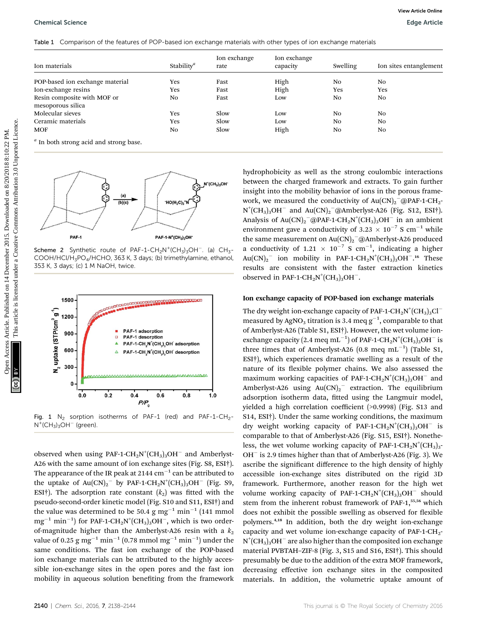#### Chemical Science Edge Article

|  | Table 1 Comparison of the features of POP-based ion exchange materials with other types of ion exchange materials |  |  |  |
|--|-------------------------------------------------------------------------------------------------------------------|--|--|--|
|--|-------------------------------------------------------------------------------------------------------------------|--|--|--|

| Ion materials                                                                                                                                                                                                                                                                                    | Stability <sup><i>a</i></sup>                                                          | Ion exchange<br>rate      | Ion exchange<br>capacity                                                                           | Swelling             | Ion sites entanglement                                                                                                                                                                                                                                                                                                                                                                                                                                                                                                                                                                                                                                                                                                                                                                                                                                                                                                                                                                                                                                                                  |
|--------------------------------------------------------------------------------------------------------------------------------------------------------------------------------------------------------------------------------------------------------------------------------------------------|----------------------------------------------------------------------------------------|---------------------------|----------------------------------------------------------------------------------------------------|----------------------|-----------------------------------------------------------------------------------------------------------------------------------------------------------------------------------------------------------------------------------------------------------------------------------------------------------------------------------------------------------------------------------------------------------------------------------------------------------------------------------------------------------------------------------------------------------------------------------------------------------------------------------------------------------------------------------------------------------------------------------------------------------------------------------------------------------------------------------------------------------------------------------------------------------------------------------------------------------------------------------------------------------------------------------------------------------------------------------------|
| POP-based ion exchange material                                                                                                                                                                                                                                                                  | Yes                                                                                    | Fast                      | High                                                                                               | No                   | No                                                                                                                                                                                                                                                                                                                                                                                                                                                                                                                                                                                                                                                                                                                                                                                                                                                                                                                                                                                                                                                                                      |
| Ion-exchange resins                                                                                                                                                                                                                                                                              | Yes                                                                                    | Fast                      | High                                                                                               | Yes                  | Yes                                                                                                                                                                                                                                                                                                                                                                                                                                                                                                                                                                                                                                                                                                                                                                                                                                                                                                                                                                                                                                                                                     |
| Resin composite with MOF or                                                                                                                                                                                                                                                                      | No                                                                                     | Fast                      | Low                                                                                                | No                   | No                                                                                                                                                                                                                                                                                                                                                                                                                                                                                                                                                                                                                                                                                                                                                                                                                                                                                                                                                                                                                                                                                      |
| mesoporous silica                                                                                                                                                                                                                                                                                |                                                                                        |                           |                                                                                                    |                      |                                                                                                                                                                                                                                                                                                                                                                                                                                                                                                                                                                                                                                                                                                                                                                                                                                                                                                                                                                                                                                                                                         |
| Molecular sieves<br>Ceramic materials                                                                                                                                                                                                                                                            | Yes<br>Yes                                                                             | Slow<br>Slow              | Low<br>Low                                                                                         | N <sub>0</sub><br>No | No<br>No                                                                                                                                                                                                                                                                                                                                                                                                                                                                                                                                                                                                                                                                                                                                                                                                                                                                                                                                                                                                                                                                                |
| <b>MOF</b>                                                                                                                                                                                                                                                                                       | N <sub>0</sub>                                                                         | Slow                      | High                                                                                               | No                   | No                                                                                                                                                                                                                                                                                                                                                                                                                                                                                                                                                                                                                                                                                                                                                                                                                                                                                                                                                                                                                                                                                      |
| <sup>a</sup> In both strong acid and strong base.                                                                                                                                                                                                                                                |                                                                                        |                           |                                                                                                    |                      |                                                                                                                                                                                                                                                                                                                                                                                                                                                                                                                                                                                                                                                                                                                                                                                                                                                                                                                                                                                                                                                                                         |
| (a)                                                                                                                                                                                                                                                                                              |                                                                                        | $N^{+}(CH_{3})_{3}OH^{-}$ |                                                                                                    |                      |                                                                                                                                                                                                                                                                                                                                                                                                                                                                                                                                                                                                                                                                                                                                                                                                                                                                                                                                                                                                                                                                                         |
| (b)(c)<br>PAF-1<br>Scheme 2 Synthetic route of PAF-1-CH <sub>2</sub> N <sup>+</sup> (CH <sub>3</sub> ) <sub>3</sub> OH <sup>-</sup> . (a) CH <sub>3</sub> -<br>COOH/HCl/H <sub>3</sub> PO <sub>4</sub> /HCHO, 363 K, 3 days; (b) trimethylamine, ethanol,<br>353 K, 3 days; (c) 1 M NaOH, twice. | $HO(H_3C)_3^+$<br>PAF-1-N <sup>+</sup> (CH <sub>3</sub> ) <sub>3</sub> OH <sup>-</sup> |                           | observed in PAF-1-CH <sub>2</sub> N <sup>+</sup> (CH <sub>3</sub> ) <sub>3</sub> OH <sup>-</sup> . |                      | hydrophobicity as well as the strong coulombic interactions<br>between the charged framework and extracts. To gain further<br>insight into the mobility behavior of ions in the porous frame-<br>work, we measured the conductivity of $Au(CN)_2$ <sup>-</sup> @PAF-1-CH <sub>2</sub> -<br>$N^{+}(CH_{3})_{3}OH^{-}$ and Au(CN) <sub>2</sub> <sup>-</sup> @Amberlyst-A26 (Fig. S12, ESI <sup>†</sup> ).<br>Analysis of Au(CN) <sub>2</sub> <sup>-</sup> @PAF-1-CH <sub>2</sub> N <sup>+</sup> (CH <sub>3</sub> ) <sub>3</sub> OH <sup>-</sup> in an ambient<br>environment gave a conductivity of 3.23 $\times$ 10 <sup>-7</sup> S cm <sup>-1</sup> while<br>the same measurement on $Au(CN)_2$ <sup>-</sup> @Amberlyst-A26 produced<br>a conductivity of 1.21 $\times$ 10 <sup>-7</sup> S cm <sup>-1</sup> , indicating a higher<br>$Au(CN)_2$ ion mobility in PAF-1-CH <sub>2</sub> N <sup>+</sup> (CH <sub>3</sub> ) <sub>3</sub> OH <sup>-16</sup> These<br>results are consistent with the faster extraction kinetics<br>Ion exchange capacity of POP-based ion exchange materials |

Scheme 2 Synthetic route of PAF-1-CH<sub>2</sub>N<sup>+</sup>(CH<sub>3</sub>)<sub>3</sub>OH<sup>-</sup>. (a) CH<sub>3</sub>-COOH/HCl/H3PO4/HCHO, 363 K, 3 days; (b) trimethylamine, ethanol, 353 K, 3 days; (c) 1 M NaOH, twice.



Fig. 1  $N_2$  sorption isotherms of PAF-1 (red) and PAF-1-CH<sub>2</sub>- $N^+(CH_3)_3OH^-$  (green).

observed when using PAF-1-CH<sub>2</sub>N<sup>+</sup>(CH<sub>3</sub>)<sub>3</sub>OH<sup>-</sup> and Amberlyst-A26 with the same amount of ion exchange sites (Fig. S8, ESI†). The appearance of the IR peak at 2144  $\rm cm^{-1}$  can be attributed to the uptake of  $Au(CN)_2$ <sup>-</sup> by PAF-1-CH<sub>2</sub>N<sup>+</sup>(CH<sub>3</sub>)<sub>3</sub>OH<sup>-</sup> (Fig. S9, ESI<sup>†</sup>). The adsorption rate constant  $(k_2)$  was fitted with the pseudo-second-order kinetic model (Fig. S10 and S11, ESI†) and the value was determined to be 50.4  ${\rm g\ mg}^{-1}$   ${\rm min}^{-1}$  (141 mmol  $\rm mg^{-1}$  min $^{-1})$  for PAF-1-CH<sub>2</sub>N<sup>+</sup>(CH<sub>3</sub>)3OH $^-$ , which is two orderof-magnitude higher than the Amberlyst-A26 resin with a  $k_2$ value of 0.25  $\rm g$  mg $^{-1}$  min $^{-1}$  (0.78 mmol mg $^{-1}$  min $^{-1})$  under the same conditions. The fast ion exchange of the POP-based ion exchange materials can be attributed to the highly accessible ion-exchange sites in the open pores and the fast ion mobility in aqueous solution benefiting from the framework

#### Ion exchange capacity of POP-based ion exchange materials

The dry weight ion-exchange capacity of PAF-1-CH<sub>2</sub>N<sup>+</sup>(CH<sub>3</sub>)<sub>3</sub>Cl<sup>–</sup> measured by AgNO<sub>3</sub> titration is 3.4 meq  $g^{-1}$ , comparable to that of Amberlyst-A26 (Table S1, ESI†). However, the wet volume ionexchange capacity (2.4 meq mL $^{-1}$ ) of PAF-1-CH<sub>2</sub>N<sup>+</sup>(CH<sub>3</sub>)<sub>3</sub>OH<sup>-</sup> is three times that of Amberlyst-A26 (0.8 meq  $mL^{-1}$ ) (Table S1, ESI†), which experiences dramatic swelling as a result of the nature of its flexible polymer chains. We also assessed the maximum working capacities of PAF-1-CH<sub>2</sub>N<sup>+</sup>(CH<sub>3</sub>)<sub>3</sub>OH<sup>-</sup> and Amberlyst-A26 using  $Au(CN)_2$ <sup>-</sup> extraction. The equilibrium adsorption isotherm data, fitted using the Langmuir model, yielded a high correlation coefficient (>0.9998) (Fig. S13 and S14, ESI†). Under the same working conditions, the maximum dry weight working capacity of PAF-1-CH<sub>2</sub>N<sup>+</sup>(CH<sub>3</sub>)<sub>3</sub>OH<sup>-</sup> is comparable to that of Amberlyst-A26 (Fig. S15, ESI†). Nonetheless, the wet volume working capacity of PAF-1-CH<sub>2</sub>N<sup>+</sup>(CH<sub>3</sub>)<sub>3</sub>-OH<sup>-</sup> is 2.9 times higher than that of Amberlyst-A26 (Fig. 3). We ascribe the significant difference to the high density of highly accessible ion-exchange sites distributed on the rigid 3D framework. Furthermore, another reason for the high wet volume working capacity of PAF-1- $\text{CH}_2\text{N}^+(\text{CH}_3)_3\text{OH}^-$  should stem from the inherent robust framework of PAF-1,<sup>55,56</sup> which does not exhibit the possible swelling as observed for flexible polymers.4,18 In addition, both the dry weight ion-exchange capacity and wet volume ion-exchange capacity of PAF-1-CH<sub>2</sub>- $\mathrm{N}^{\mathrm{+}}\mathrm{(CH_3)_3OH^{-}}$  are also higher than the composited ion exchange material PVBTAH–ZIF-8 (Fig. 3, S15 and S16, ESI†). This should presumably be due to the addition of the extra MOF framework, decreasing effective ion exchange sites in the composited materials. In addition, the volumetric uptake amount of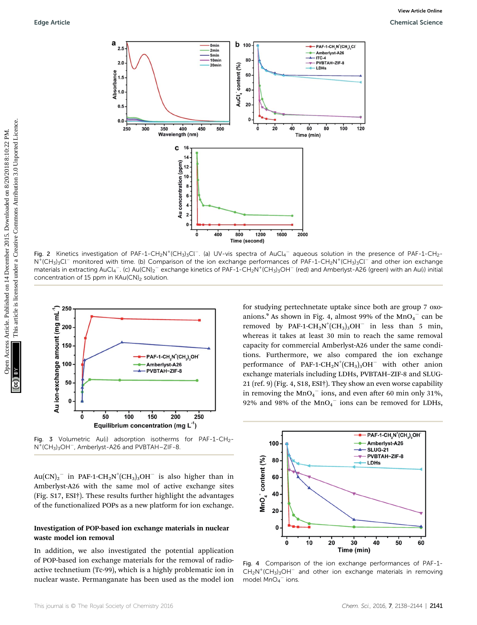

Fig. 2 Kinetics investigation of PAF-1-CH<sub>2</sub>N<sup>+</sup>(CH<sub>3</sub>)<sub>3</sub>Cl<sup>-</sup>. (a) UV-vis spectra of AuCl<sub>4</sub><sup>-</sup> aqueous solution in the presence of PAF-1-CH<sub>2</sub>-N<sup>+</sup>(CH<sub>3</sub>)<sub>3</sub>Cl<sup>-</sup> monitored with time. (b) Comparison of the ion exchange performances of PAF-1-CH<sub>2</sub>N<sup>+</sup>(CH<sub>3</sub>)<sub>3</sub>Cl<sup>-</sup> and other ion exchange materials in extracting AuCl<sub>4</sub><sup>-</sup>. (c) Au(CN)<sub>2</sub><sup>-</sup> exchange kinetics of PAF-1-CH<sub>2</sub>N<sup>+</sup>(CH<sub>3</sub>)<sub>3</sub>OH<sup>-</sup> (red) and Amberlyst-A26 (green) with an Au(I) initial concentration of 15 ppm in KAu(CN)<sub>2</sub> solution.



Fig. 3 Volumetric Au(i) adsorption isotherms for PAF-1-CH<sub>2</sub>-N<sup>+</sup>(CH<sub>3</sub>)<sub>3</sub>OH<sup>-</sup>, Amberlyst-A26 and PVBTAH-ZIF-8.

 $Au(CN)_2$ <sup>-</sup> in PAF-1-CH<sub>2</sub>N<sup>+</sup>(CH<sub>3</sub>)<sub>3</sub>OH<sup>-</sup> is also higher than in Amberlyst-A26 with the same mol of active exchange sites (Fig. S17, ESI†). These results further highlight the advantages of the functionalized POPs as a new platform for ion exchange.

#### Investigation of POP-based ion exchange materials in nuclear waste model ion removal

In addition, we also investigated the potential application of POP-based ion exchange materials for the removal of radioactive technetium (Tc-99), which is a highly problematic ion in nuclear waste. Permanganate has been used as the model ion

for studying pertechnetate uptake since both are group 7 oxoanions.<sup>9</sup> As shown in Fig. 4, almost 99% of the  $MnO<sub>4</sub><sup>-</sup>$  can be removed by PAF-1-CH<sub>2</sub>N<sup>+</sup>(CH<sub>3</sub>)<sub>3</sub>OH<sup>-</sup> in less than 5 min, whereas it takes at least 30 min to reach the same removal capacity for commercial Amberlyst-A26 under the same conditions. Furthermore, we also compared the ion exchange performance of PAF-1-CH<sub>2</sub>N<sup>+</sup>(CH<sub>3</sub>)<sub>3</sub>OH<sup>-</sup> with other anion exchange materials including LDHs, PVBTAH–ZIF-8 and SLUG-21 (ref. 9) (Fig. 4, S18, ESI†). They show an even worse capability in removing the  $MnO<sub>4</sub><sup>-</sup>$  ions, and even after 60 min only 31%, 92% and 98% of the  $MnO<sub>4</sub>$  ions can be removed for LDHs,



Fig. 4 Comparison of the ion exchange performances of PAF-1-  $CH_2N^+(CH_3)_3OH^-$  and other ion exchange materials in removing model  $MnO<sub>4</sub>$  ions.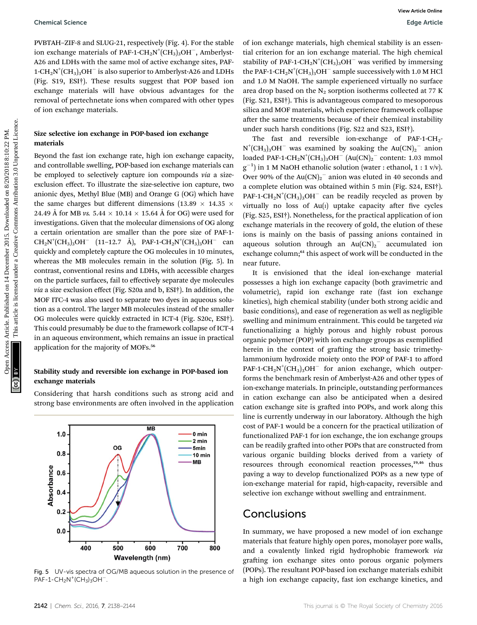PVBTAH–ZIF-8 and SLUG-21, respectively (Fig. 4). For the stable ion exchange materials of PAF-1-CH<sub>2</sub>N<sup>+</sup>(CH<sub>3</sub>)<sub>3</sub>OH<sup>-</sup>, Amberlyst-A26 and LDHs with the same mol of active exchange sites, PAF-1-CH<sub>2</sub>N<sup>+</sup>(CH<sub>3</sub>)<sub>3</sub>OH $^{\rm -}$  is also superior to Amberlyst-A26 and LDHs (Fig. S19, ESI†). These results suggest that POP based ion exchange materials will have obvious advantages for the removal of pertechnetate ions when compared with other types of ion exchange materials.

#### Size selective ion exchange in POP-based ion exchange materials

Beyond the fast ion exchange rate, high ion exchange capacity, and controllable swelling, POP-based ion exchange materials can be employed to selectively capture ion compounds via a sizeexclusion effect. To illustrate the size-selective ion capture, two anionic dyes, Methyl Blue (MB) and Orange G (OG) which have the same charges but different dimensions (13.89  $\times$  14.35  $\times$ 24.49 Å for MB vs. 5.44  $\times$  10.14  $\times$  15.64 Å for OG) were used for investigations. Given that the molecular dimensions of OG along a certain orientation are smaller than the pore size of PAF-1-  $CH_2N^+(CH_3)_3OH^-$  (11–12.7 Å), PAF-1-CH<sub>2</sub>N<sup>+</sup>(CH<sub>3</sub>)<sub>3</sub>OH<sup>-</sup> can quickly and completely capture the OG molecules in 10 minutes, whereas the MB molecules remain in the solution (Fig. 5). In contrast, conventional resins and LDHs, with accessible charges on the particle surfaces, fail to effectively separate dye molecules via a size exclusion effect (Fig. S20a and b, ESI†). In addition, the MOF ITC-4 was also used to separate two dyes in aqueous solution as a control. The larger MB molecules instead of the smaller OG molecules were quickly extracted in ICT-4 (Fig. S20c, ESI†). This could presumably be due to the framework collapse of ICT-4 in an aqueous environment, which remains an issue in practical application for the majority of MOFs.<sup>56</sup> Openical Science<br>
PUTAL-ZIP-8 and SLUG-31, respectively (Fig. 4). If or the stable of icense in the tractional creation of the stable of the stable of the stable of the stable of the stable of the stable of the stable of

#### Stability study and reversible ion exchange in POP-based ion exchange materials

Considering that harsh conditions such as strong acid and strong base environments are often involved in the application



Fig. 5 UV-vis spectra of OG/MB aqueous solution in the presence of  $PAF - 1 - CH_2N^+(CH_3)_3OH^-$ .

of ion exchange materials, high chemical stability is an essential criterion for an ion exchange material. The high chemical stability of PAF-1-CH<sub>2</sub>N<sup>+</sup>(CH<sub>3</sub>)<sub>3</sub>OH<sup>-</sup> was verified by immersing the PAF-1-CH<sub>2</sub>N<sup>+</sup>(CH<sub>3</sub>)<sub>3</sub>OH<sup>-</sup> sample successively with 1.0 M HCl and 1.0 M NaOH. The sample experienced virtually no surface area drop based on the  $N_2$  sorption isotherms collected at 77 K (Fig. S21, ESI†). This is advantageous compared to mesoporous silica and MOF materials, which experience framework collapse after the same treatments because of their chemical instability under such harsh conditions (Fig. S22 and S23, ESI†).

The fast and reversible ion-exchange of PAF-1-CH<sub>2</sub>- $N^{+}(CH_{3})_{3}OH^{-}$  was examined by soaking the  $Au(CN)_{2}^{-}$  anion loaded PAF-1-CH<sub>2</sub>N<sup>+</sup>(CH<sub>3</sub>)<sub>3</sub>OH<sup>--</sup> (Au(CN)<sub>2</sub><sup>--</sup> content: 1.03 mmol  $(g^{-1})$  in 1 M NaOH ethanolic solution (water : ethanol, 1 : 1 v/v). Over 90% of the  $Au(CN)_2$ <sup>-</sup> anion was eluted in 40 seconds and a complete elution was obtained within 5 min (Fig. S24, ESI†). PAF-1-CH<sub>2</sub>N<sup>+</sup>(CH<sub>3</sub>)<sub>3</sub>OH<sup>-</sup> can be readily recycled as proven by virtually no loss of  $Au(1)$  uptake capacity after five cycles (Fig. S25, ESI†). Nonetheless, for the practical application of ion exchange materials in the recovery of gold, the elution of these ions is mainly on the basis of passing anions contained in aqueous solution through an  $Au(CN)_2$ <sup>-</sup> accumulated ion exchange column;<sup>61</sup> this aspect of work will be conducted in the near future.

It is envisioned that the ideal ion-exchange material possesses a high ion exchange capacity (both gravimetric and volumetric), rapid ion exchange rate (fast ion exchange kinetics), high chemical stability (under both strong acidic and basic conditions), and ease of regeneration as well as negligible swelling and minimum entrainment. This could be targeted via functionalizing a highly porous and highly robust porous organic polymer (POP) with ion exchange groups as exemplified herein in the context of grafting the strong basic trimethylammonium hydroxide moiety onto the POP of PAF-1 to afford PAF-1-CH<sub>2</sub>N<sup>+</sup>(CH<sub>3</sub>)<sub>3</sub>OH<sup>-</sup> for anion exchange, which outperforms the benchmark resin of Amberlyst-A26 and other types of ion-exchange materials. In principle, outstanding performances in cation exchange can also be anticipated when a desired cation exchange site is grafted into POPs, and work along this line is currently underway in our laboratory. Although the high cost of PAF-1 would be a concern for the practical utilization of functionalized PAF-1 for ion exchange, the ion exchange groups can be readily grafted into other POPs that are constructed from various organic building blocks derived from a variety of resources through economical reaction processes,<sup>19,46</sup> thus paving a way to develop functionalized POPs as a new type of ion-exchange material for rapid, high-capacity, reversible and selective ion exchange without swelling and entrainment.

# Conclusions

In summary, we have proposed a new model of ion exchange materials that feature highly open pores, monolayer pore walls, and a covalently linked rigid hydrophobic framework via grafting ion exchange sites onto porous organic polymers (POPs). The resultant POP-based ion exchange materials exhibit a high ion exchange capacity, fast ion exchange kinetics, and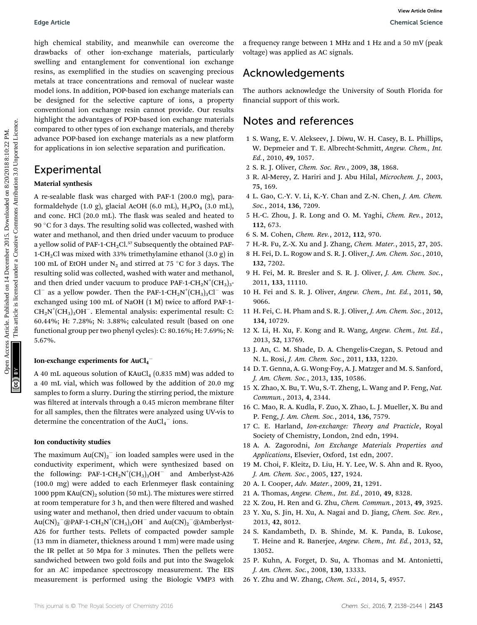high chemical stability, and meanwhile can overcome the drawbacks of other ion-exchange materials, particularly swelling and entanglement for conventional ion exchange resins, as exemplified in the studies on scavenging precious metals at trace concentrations and removal of nuclear waste model ions. In addition, POP-based ion exchange materials can be designed for the selective capture of ions, a property conventional ion exchange resin cannot provide. Our results highlight the advantages of POP-based ion exchange materials compared to other types of ion exchange materials, and thereby advance POP-based ion exchange materials as a new platform for applications in ion selective separation and purification.

# **Experimental**

#### Material synthesis

A re-sealable flask was charged with PAF-1 (200.0 mg), paraformaldehyde (1.0 g), glacial AcOH (6.0 mL),  $H_3PO_4$  (3.0 mL), and conc. HCl (20.0 mL). The flask was sealed and heated to 90 °C for 3 days. The resulting solid was collected, washed with water and methanol, and then dried under vacuum to produce a yellow solid of PAF-1-CH<sub>2</sub>Cl.<sup>57</sup> Subsequently the obtained PAF-1-CH<sub>2</sub>Cl was mixed with 33% trimethylamine ethanol  $(3.0 \text{ g})$  in 100 mL of EtOH under  $N_2$  and stirred at 75 °C for 3 days. The resulting solid was collected, washed with water and methanol, and then dried under vacuum to produce PAF-1-CH<sub>2</sub>N<sup>+</sup>(CH<sub>3</sub>)<sub>3</sub>-Cl<sup>-</sup> as a yellow powder. Then the PAF-1-CH<sub>2</sub>N<sup>+</sup>(CH<sub>3</sub>)<sub>3</sub>Cl<sup>-</sup> was exchanged using 100 mL of NaOH (1 M) twice to afford PAF-1-  $CH_2N^+(CH_3)_3OH^-$ . Elemental analysis: experimental result: C: 60.44%; H: 7.28%; N: 3.88%; calculated result (based on one functional group per two phenyl cycles): C: 80.16%; H: 7.69%; N: 5.67%. Edge Article<br>
Unput a Science of the transfer on the complete on the second on 14 December 2015. Downloaded on 14 December 2015. Downloaded on 14 December 2015.<br>
The creation of the street on extended under the street on t

### Ion-exchange experiments for  $\mathrm{AuCl_4}^-$

A 40 mL aqueous solution of  $KAuCl<sub>4</sub>$  (0.835 mM) was added to a 40 mL vial, which was followed by the addition of 20.0 mg samples to form a slurry. During the stirring period, the mixture was filtered at intervals through a 0.45 micron membrane filter for all samples, then the filtrates were analyzed using UV-vis to determine the concentration of the  $AuCl<sub>4</sub><sup>-</sup>$  ions.

#### Ion conductivity studies

The maximum  ${\rm Au(CN)_2}^-$  ion loaded samples were used in the conductivity experiment, which were synthesized based on the following: PAF-1-CH<sub>2</sub>N<sup>+</sup>(CH<sub>3</sub>)<sub>3</sub>OH<sup>-</sup> and Amberlyst-A26  $(100.0 \text{ mg})$  were added to each Erlenmeyer flask containing 1000 ppm  $KAu(CN)_2$  solution (50 mL). The mixtures were stirred at room temperature for 3 h, and then were filtered and washed using water and methanol, then dried under vacuum to obtain  $\rm{Au(CN)_2}^-$ @PAF-1-CH<sub>2</sub>N<sup>+</sup>(CH<sub>3</sub>)<sub>3</sub>OH $^-$  and  $\rm{Au(CN)_2}^-$ @Amberlyst-A26 for further tests. Pellets of compacted powder sample (13 mm in diameter, thickness around 1 mm) were made using the IR pellet at 50 Mpa for 3 minutes. Then the pellets were sandwiched between two gold foils and put into the Swagelok for an AC impedance spectroscopy measurement. The EIS measurement is performed using the Biologic VMP3 with

a frequency range between 1 MHz and 1 Hz and a 50 mV (peak voltage) was applied as AC signals.

# Acknowledgements

The authors acknowledge the University of South Florida for financial support of this work.

## Notes and references

- 1 S. Wang, E. V. Alekseev, J. Diwu, W. H. Casey, B. L. Phillips, W. Depmeier and T. E. Albrecht-Schmitt, Angew. Chem., Int. Ed., 2010, 49, 1057.
- 2 S. R. J. Oliver, Chem. Soc. Rev., 2009, 38, 1868.
- 3 R. Al-Merey, Z. Hariri and J. Abu Hilal, Microchem. J., 2003, 75, 169.
- 4 L. Gao, C.-Y. V. Li, K.-Y. Chan and Z.-N. Chen, J. Am. Chem. Soc., 2014, 136, 7209.
- 5 H.-C. Zhou, J. R. Long and O. M. Yaghi, Chem. Rev., 2012, 112, 673.
- 6 S. M. Cohen, Chem. Rev., 2012, 112, 970.
- 7 H.-R. Fu, Z.-X. Xu and J. Zhang, Chem. Mater., 2015, 27, 205.
- 8 H. Fei, D. L. Rogow and S. R. J. Oliver, J. Am. Chem. Soc., 2010, 132, 7202.
- 9 H. Fei, M. R. Bresler and S. R. J. Oliver, J. Am. Chem. Soc., 2011, 133, 11110.
- 10 H. Fei and S. R. J. Oliver, Angew. Chem., Int. Ed., 2011, 50, 9066.
- 11 H. Fei, C. H. Pham and S. R. J. Oliver, J. Am. Chem. Soc., 2012, 134, 10729.
- 12 X. Li, H. Xu, F. Kong and R. Wang, Angew. Chem., Int. Ed., 2013, 52, 13769.
- 13 J. An, C. M. Shade, D. A. Chengelis-Czegan, S. Petoud and N. L. Rosi, J. Am. Chem. Soc., 2011, 133, 1220.
- 14 D. T. Genna, A. G. Wong-Foy, A. J. Matzger and M. S. Sanford, J. Am. Chem. Soc., 2013, 135, 10586.
- 15 X. Zhao, X. Bu, T. Wu, S.-T. Zheng, L. Wang and P. Feng, Nat. Commun., 2013, 4, 2344.
- 16 C. Mao, R. A. Kudla, F. Zuo, X. Zhao, L. J. Mueller, X. Bu and P. Feng, J. Am. Chem. Soc., 2014, 136, 7579.
- 17 C. E. Harland, Ion-exchange: Theory and Practicle, Royal Society of Chemistry, London, 2nd edn, 1994.
- 18 A. A. Zagorodni, Ion Exchange Materials Properties and Applications, Elsevier, Oxford, 1st edn, 2007.
- 19 M. Choi, F. Kleitz, D. Liu, H. Y. Lee, W. S. Ahn and R. Ryoo, J. Am. Chem. Soc., 2005, 127, 1924.
- 20 A. I. Cooper, Adv. Mater., 2009, 21, 1291.
- 21 A. Thomas, Angew. Chem., Int. Ed., 2010, 49, 8328.
- 22 X. Zou, H. Ren and G. Zhu, Chem. Commun., 2013, 49, 3925.
- 23 Y. Xu, S. Jin, H. Xu, A. Nagai and D. Jiang, Chem. Soc. Rev., 2013, 42, 8012.
- 24 S. Kandambeth, D. B. Shinde, M. K. Panda, B. Lukose, T. Heine and R. Banerjee, Angew. Chem., Int. Ed., 2013, 52, 13052.
- 25 P. Kuhn, A. Forget, D. Su, A. Thomas and M. Antonietti, J. Am. Chem. Soc., 2008, 130, 13333.
- 26 Y. Zhu and W. Zhang, Chem. Sci., 2014, 5, 4957.